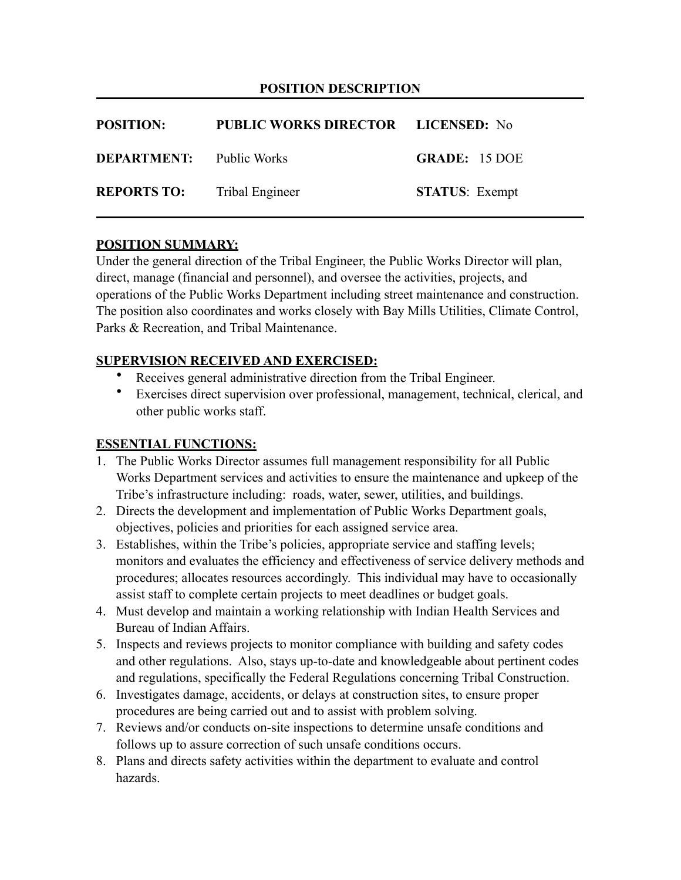#### **POSITION DESCRIPTION**

| <b>POSITION:</b>                | <b>PUBLIC WORKS DIRECTOR LICENSED:</b> No |                       |
|---------------------------------|-------------------------------------------|-----------------------|
| <b>DEPARTMENT:</b> Public Works |                                           | <b>GRADE: 15 DOE</b>  |
| <b>REPORTS TO:</b>              | Tribal Engineer                           | <b>STATUS:</b> Exempt |

#### **POSITION SUMMARY:**

Under the general direction of the Tribal Engineer, the Public Works Director will plan, direct, manage (financial and personnel), and oversee the activities, projects, and operations of the Public Works Department including street maintenance and construction. The position also coordinates and works closely with Bay Mills Utilities, Climate Control, Parks & Recreation, and Tribal Maintenance.

#### **SUPERVISION RECEIVED AND EXERCISED:**

- Receives general administrative direction from the Tribal Engineer.
- Exercises direct supervision over professional, management, technical, clerical, and other public works staff.

### **ESSENTIAL FUNCTIONS:**

- 1. The Public Works Director assumes full management responsibility for all Public Works Department services and activities to ensure the maintenance and upkeep of the Tribe's infrastructure including: roads, water, sewer, utilities, and buildings.
- 2. Directs the development and implementation of Public Works Department goals, objectives, policies and priorities for each assigned service area.
- 3. Establishes, within the Tribe's policies, appropriate service and staffing levels; monitors and evaluates the efficiency and effectiveness of service delivery methods and procedures; allocates resources accordingly. This individual may have to occasionally assist staff to complete certain projects to meet deadlines or budget goals.
- 4. Must develop and maintain a working relationship with Indian Health Services and Bureau of Indian Affairs.
- 5. Inspects and reviews projects to monitor compliance with building and safety codes and other regulations. Also, stays up-to-date and knowledgeable about pertinent codes and regulations, specifically the Federal Regulations concerning Tribal Construction.
- 6. Investigates damage, accidents, or delays at construction sites, to ensure proper procedures are being carried out and to assist with problem solving.
- 7. Reviews and/or conducts on-site inspections to determine unsafe conditions and follows up to assure correction of such unsafe conditions occurs.
- 8. Plans and directs safety activities within the department to evaluate and control hazards.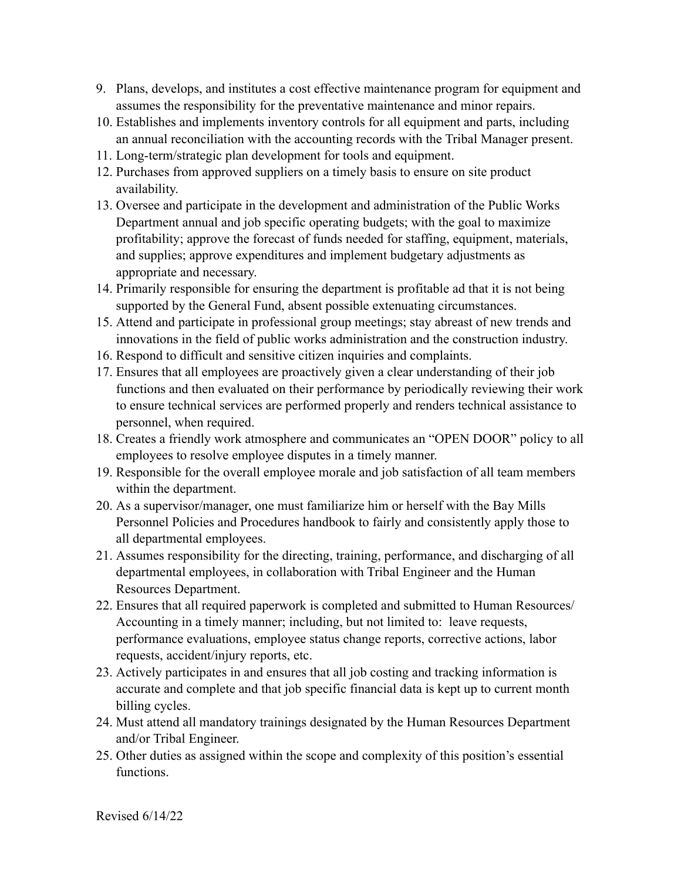- 9. Plans, develops, and institutes a cost effective maintenance program for equipment and assumes the responsibility for the preventative maintenance and minor repairs.
- 10. Establishes and implements inventory controls for all equipment and parts, including an annual reconciliation with the accounting records with the Tribal Manager present.
- 11. Long-term/strategic plan development for tools and equipment.
- 12. Purchases from approved suppliers on a timely basis to ensure on site product availability.
- 13. Oversee and participate in the development and administration of the Public Works Department annual and job specific operating budgets; with the goal to maximize profitability; approve the forecast of funds needed for staffing, equipment, materials, and supplies; approve expenditures and implement budgetary adjustments as appropriate and necessary.
- 14. Primarily responsible for ensuring the department is profitable ad that it is not being supported by the General Fund, absent possible extenuating circumstances.
- 15. Attend and participate in professional group meetings; stay abreast of new trends and innovations in the field of public works administration and the construction industry.
- 16. Respond to difficult and sensitive citizen inquiries and complaints.
- 17. Ensures that all employees are proactively given a clear understanding of their job functions and then evaluated on their performance by periodically reviewing their work to ensure technical services are performed properly and renders technical assistance to personnel, when required.
- 18. Creates a friendly work atmosphere and communicates an "OPEN DOOR" policy to all employees to resolve employee disputes in a timely manner.
- 19. Responsible for the overall employee morale and job satisfaction of all team members within the department.
- 20. As a supervisor/manager, one must familiarize him or herself with the Bay Mills Personnel Policies and Procedures handbook to fairly and consistently apply those to all departmental employees.
- 21. Assumes responsibility for the directing, training, performance, and discharging of all departmental employees, in collaboration with Tribal Engineer and the Human Resources Department.
- 22. Ensures that all required paperwork is completed and submitted to Human Resources/ Accounting in a timely manner; including, but not limited to: leave requests, performance evaluations, employee status change reports, corrective actions, labor requests, accident/injury reports, etc.
- 23. Actively participates in and ensures that all job costing and tracking information is accurate and complete and that job specific financial data is kept up to current month billing cycles.
- 24. Must attend all mandatory trainings designated by the Human Resources Department and/or Tribal Engineer.
- 25. Other duties as assigned within the scope and complexity of this position's essential functions.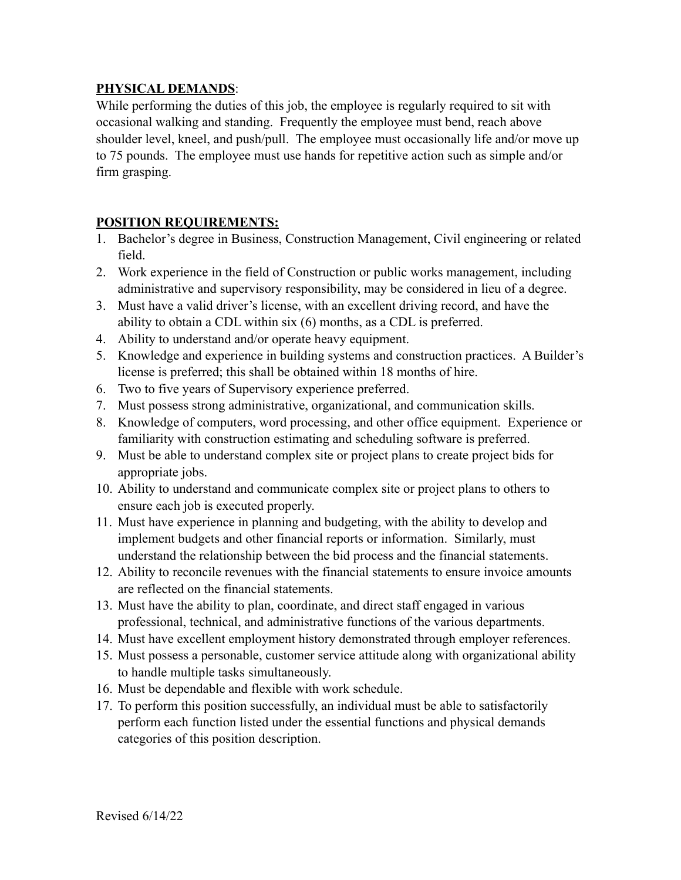## **PHYSICAL DEMANDS**:

While performing the duties of this job, the employee is regularly required to sit with occasional walking and standing. Frequently the employee must bend, reach above shoulder level, kneel, and push/pull. The employee must occasionally life and/or move up to 75 pounds. The employee must use hands for repetitive action such as simple and/or firm grasping.

# **POSITION REQUIREMENTS:**

- 1. Bachelor's degree in Business, Construction Management, Civil engineering or related field.
- 2. Work experience in the field of Construction or public works management, including administrative and supervisory responsibility, may be considered in lieu of a degree.
- 3. Must have a valid driver's license, with an excellent driving record, and have the ability to obtain a CDL within six (6) months, as a CDL is preferred.
- 4. Ability to understand and/or operate heavy equipment.
- 5. Knowledge and experience in building systems and construction practices. A Builder's license is preferred; this shall be obtained within 18 months of hire.
- 6. Two to five years of Supervisory experience preferred.
- 7. Must possess strong administrative, organizational, and communication skills.
- 8. Knowledge of computers, word processing, and other office equipment. Experience or familiarity with construction estimating and scheduling software is preferred.
- 9. Must be able to understand complex site or project plans to create project bids for appropriate jobs.
- 10. Ability to understand and communicate complex site or project plans to others to ensure each job is executed properly.
- 11. Must have experience in planning and budgeting, with the ability to develop and implement budgets and other financial reports or information. Similarly, must understand the relationship between the bid process and the financial statements.
- 12. Ability to reconcile revenues with the financial statements to ensure invoice amounts are reflected on the financial statements.
- 13. Must have the ability to plan, coordinate, and direct staff engaged in various professional, technical, and administrative functions of the various departments.
- 14. Must have excellent employment history demonstrated through employer references.
- 15. Must possess a personable, customer service attitude along with organizational ability to handle multiple tasks simultaneously.
- 16. Must be dependable and flexible with work schedule.
- 17. To perform this position successfully, an individual must be able to satisfactorily perform each function listed under the essential functions and physical demands categories of this position description.